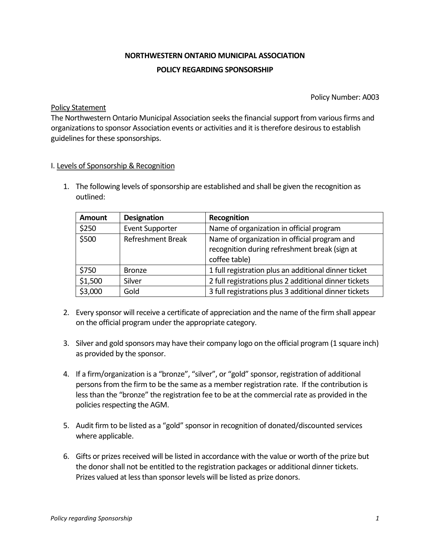## **NORTHWESTERN ONTARIO MUNICIPAL ASSOCIATION POLICY REGARDING SPONSORSHIP**

Policy Number: A003

## Policy Statement

The Northwestern Ontario Municipal Association seeks the financial support from various firms and organizations to sponsor Association events or activities and it is therefore desirous to establish guidelines for these sponsorships.

## I. Levels of Sponsorship & Recognition

1. The following levels of sponsorship are established and shall be given the recognition as outlined:

| <b>Amount</b> | <b>Designation</b>       | Recognition                                                                                                    |
|---------------|--------------------------|----------------------------------------------------------------------------------------------------------------|
| \$250         | <b>Event Supporter</b>   | Name of organization in official program                                                                       |
| \$500         | <b>Refreshment Break</b> | Name of organization in official program and<br>recognition during refreshment break (sign at<br>coffee table) |
| \$750         | <b>Bronze</b>            | 1 full registration plus an additional dinner ticket                                                           |
| \$1,500       | Silver                   | 2 full registrations plus 2 additional dinner tickets                                                          |
| \$3,000       | Gold                     | 3 full registrations plus 3 additional dinner tickets                                                          |

- 2. Every sponsor will receive a certificate of appreciation and the name of the firm shall appear on the official program under the appropriate category.
- 3. Silver and gold sponsors may have their company logo on the official program (1 square inch) as provided by the sponsor.
- 4. If a firm/organization is a "bronze", "silver", or "gold" sponsor, registration of additional persons from the firm to be the same as a member registration rate. If the contribution is less than the "bronze" the registration fee to be at the commercial rate as provided in the policies respecting the AGM.
- 5. Audit firm to be listed as a "gold" sponsor in recognition of donated/discounted services where applicable.
- 6. Gifts or prizes received will be listed in accordance with the value or worth of the prize but the donor shall not be entitled to the registration packages or additional dinner tickets. Prizes valued at less than sponsor levels will be listed as prize donors.